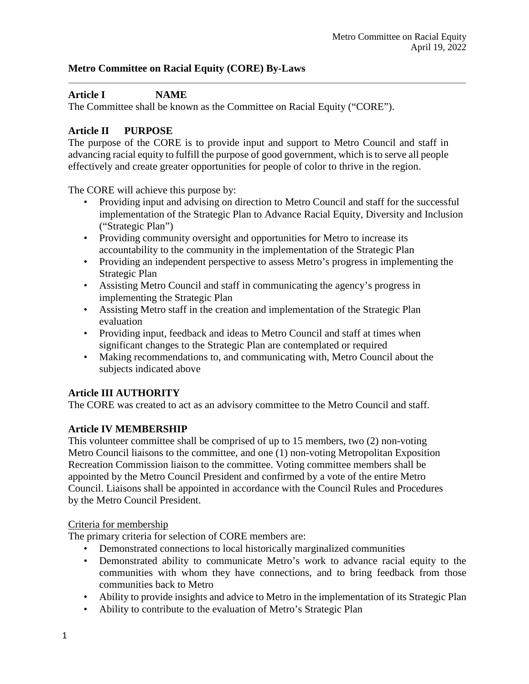# **Metro Committee on Racial Equity (CORE) By-Laws**

## **Article I NAME**

The Committee shall be known as the Committee on Racial Equity ("CORE").

## **Article II PURPOSE**

The purpose of the CORE is to provide input and support to Metro Council and staff in advancing racial equity to fulfill the purpose of good government, which is to serve all people effectively and create greater opportunities for people of color to thrive in the region.

The CORE will achieve this purpose by:

- Providing input and advising on direction to Metro Council and staff for the successful implementation of the Strategic Plan to Advance Racial Equity, Diversity and Inclusion ("Strategic Plan")
- Providing community oversight and opportunities for Metro to increase its accountability to the community in the implementation of the Strategic Plan
- Providing an independent perspective to assess Metro's progress in implementing the Strategic Plan
- Assisting Metro Council and staff in communicating the agency's progress in implementing the Strategic Plan
- Assisting Metro staff in the creation and implementation of the Strategic Plan evaluation
- Providing input, feedback and ideas to Metro Council and staff at times when significant changes to the Strategic Plan are contemplated or required
- Making recommendations to, and communicating with, Metro Council about the subjects indicated above

### **Article III AUTHORITY**

The CORE was created to act as an advisory committee to the Metro Council and staff.

### **Article IV MEMBERSHIP**

This volunteer committee shall be comprised of up to 15 members, two (2) non-voting Metro Council liaisons to the committee, and one (1) non-voting Metropolitan Exposition Recreation Commission liaison to the committee. Voting committee members shall be appointed by the Metro Council President and confirmed by a vote of the entire Metro Council. Liaisons shall be appointed in accordance with the Council Rules and Procedures by the Metro Council President.

### Criteria for membership

The primary criteria for selection of CORE members are:

- Demonstrated connections to local historically marginalized communities
- Demonstrated ability to communicate Metro's work to advance racial equity to the communities with whom they have connections, and to bring feedback from those communities back to Metro
- Ability to provide insights and advice to Metro in the implementation of its Strategic Plan
- Ability to contribute to the evaluation of Metro's Strategic Plan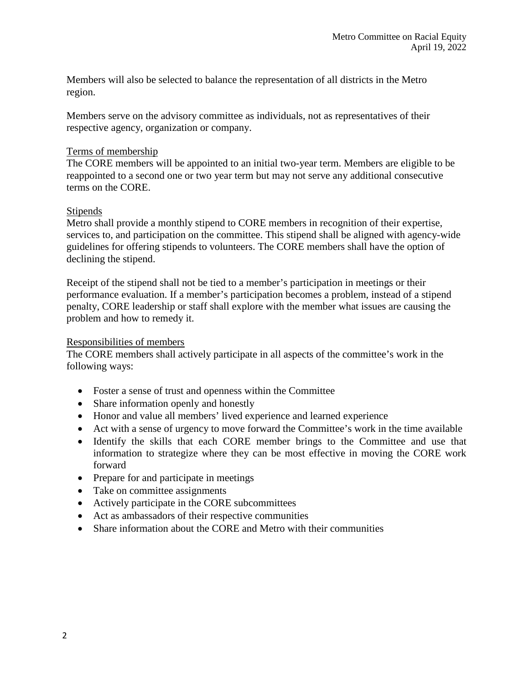Members will also be selected to balance the representation of all districts in the Metro region.

Members serve on the advisory committee as individuals, not as representatives of their respective agency, organization or company.

## Terms of membership

The CORE members will be appointed to an initial two-year term. Members are eligible to be reappointed to a second one or two year term but may not serve any additional consecutive terms on the CORE.

## **Stipends**

Metro shall provide a monthly stipend to CORE members in recognition of their expertise, services to, and participation on the committee. This stipend shall be aligned with agency-wide guidelines for offering stipends to volunteers. The CORE members shall have the option of declining the stipend.

Receipt of the stipend shall not be tied to a member's participation in meetings or their performance evaluation. If a member's participation becomes a problem, instead of a stipend penalty, CORE leadership or staff shall explore with the member what issues are causing the problem and how to remedy it.

### Responsibilities of members

The CORE members shall actively participate in all aspects of the committee's work in the following ways:

- Foster a sense of trust and openness within the Committee
- Share information openly and honestly
- Honor and value all members' lived experience and learned experience
- Act with a sense of urgency to move forward the Committee's work in the time available
- Identify the skills that each CORE member brings to the Committee and use that information to strategize where they can be most effective in moving the CORE work forward
- Prepare for and participate in meetings
- Take on committee assignments
- Actively participate in the CORE subcommittees
- Act as ambassadors of their respective communities
- Share information about the CORE and Metro with their communities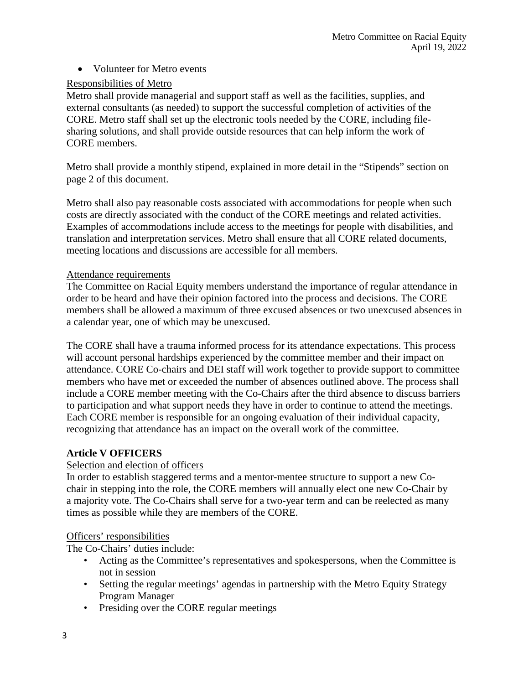• Volunteer for Metro events

## Responsibilities of Metro

Metro shall provide managerial and support staff as well as the facilities, supplies, and external consultants (as needed) to support the successful completion of activities of the CORE. Metro staff shall set up the electronic tools needed by the CORE, including filesharing solutions, and shall provide outside resources that can help inform the work of CORE members.

Metro shall provide a monthly stipend, explained in more detail in the "Stipends" section on page 2 of this document.

Metro shall also pay reasonable costs associated with accommodations for people when such costs are directly associated with the conduct of the CORE meetings and related activities. Examples of accommodations include access to the meetings for people with disabilities, and translation and interpretation services. Metro shall ensure that all CORE related documents, meeting locations and discussions are accessible for all members.

## Attendance requirements

The Committee on Racial Equity members understand the importance of regular attendance in order to be heard and have their opinion factored into the process and decisions. The CORE members shall be allowed a maximum of three excused absences or two unexcused absences in a calendar year, one of which may be unexcused.

The CORE shall have a trauma informed process for its attendance expectations. This process will account personal hardships experienced by the committee member and their impact on attendance. CORE Co-chairs and DEI staff will work together to provide support to committee members who have met or exceeded the number of absences outlined above. The process shall include a CORE member meeting with the Co-Chairs after the third absence to discuss barriers to participation and what support needs they have in order to continue to attend the meetings. Each CORE member is responsible for an ongoing evaluation of their individual capacity, recognizing that attendance has an impact on the overall work of the committee.

# **Article V OFFICERS**

## Selection and election of officers

In order to establish staggered terms and a mentor-mentee structure to support a new Cochair in stepping into the role, the CORE members will annually elect one new Co-Chair by a majority vote. The Co-Chairs shall serve for a two-year term and can be reelected as many times as possible while they are members of the CORE.

## Officers' responsibilities

The Co-Chairs' duties include:

- Acting as the Committee's representatives and spokespersons, when the Committee is not in session
- Setting the regular meetings' agendas in partnership with the Metro Equity Strategy Program Manager
- Presiding over the CORE regular meetings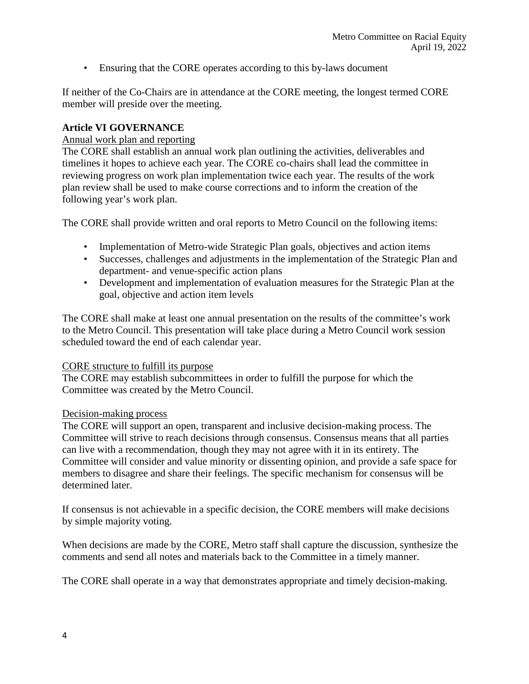• Ensuring that the CORE operates according to this by-laws document

If neither of the Co-Chairs are in attendance at the CORE meeting, the longest termed CORE member will preside over the meeting.

## **Article VI GOVERNANCE**

## Annual work plan and reporting

The CORE shall establish an annual work plan outlining the activities, deliverables and timelines it hopes to achieve each year. The CORE co-chairs shall lead the committee in reviewing progress on work plan implementation twice each year. The results of the work plan review shall be used to make course corrections and to inform the creation of the following year's work plan.

The CORE shall provide written and oral reports to Metro Council on the following items:

- Implementation of Metro-wide Strategic Plan goals, objectives and action items
- Successes, challenges and adjustments in the implementation of the Strategic Plan and department- and venue-specific action plans
- Development and implementation of evaluation measures for the Strategic Plan at the goal, objective and action item levels

The CORE shall make at least one annual presentation on the results of the committee's work to the Metro Council. This presentation will take place during a Metro Council work session scheduled toward the end of each calendar year.

### CORE structure to fulfill its purpose

The CORE may establish subcommittees in order to fulfill the purpose for which the Committee was created by the Metro Council.

### Decision-making process

The CORE will support an open, transparent and inclusive decision-making process. The Committee will strive to reach decisions through consensus. Consensus means that all parties can live with a recommendation, though they may not agree with it in its entirety. The Committee will consider and value minority or dissenting opinion, and provide a safe space for members to disagree and share their feelings. The specific mechanism for consensus will be determined later.

If consensus is not achievable in a specific decision, the CORE members will make decisions by simple majority voting.

When decisions are made by the CORE, Metro staff shall capture the discussion, synthesize the comments and send all notes and materials back to the Committee in a timely manner.

The CORE shall operate in a way that demonstrates appropriate and timely decision-making.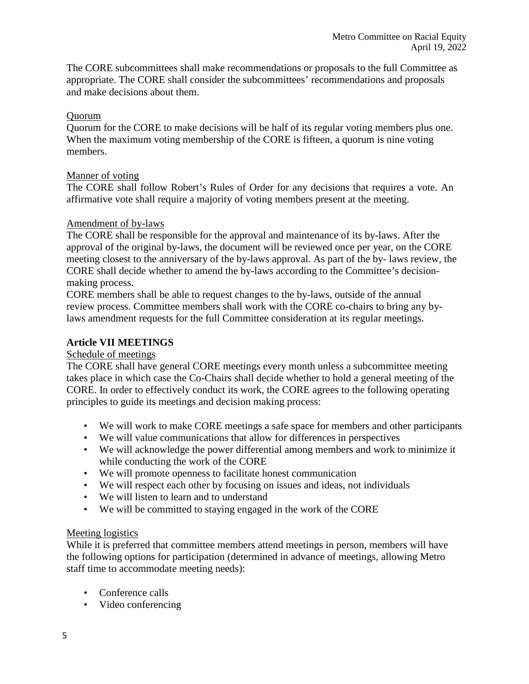The CORE subcommittees shall make recommendations or proposals to the full Committee as appropriate. The CORE shall consider the subcommittees' recommendations and proposals and make decisions about them.

## Quorum

Quorum for the CORE to make decisions will be half of its regular voting members plus one. When the maximum voting membership of the CORE is fifteen, a quorum is nine voting members.

### Manner of voting

The CORE shall follow Robert's Rules of Order for any decisions that requires a vote. An affirmative vote shall require a majority of voting members present at the meeting.

## Amendment of by-laws

The CORE shall be responsible for the approval and maintenance of its by-laws. After the approval of the original by-laws, the document will be reviewed once per year, on the CORE meeting closest to the anniversary of the by-laws approval. As part of the by- laws review, the CORE shall decide whether to amend the by-laws according to the Committee's decisionmaking process.

CORE members shall be able to request changes to the by-laws, outside of the annual review process. Committee members shall work with the CORE co-chairs to bring any bylaws amendment requests for the full Committee consideration at its regular meetings.

## **Article VII MEETINGS**

### Schedule of meetings

The CORE shall have general CORE meetings every month unless a subcommittee meeting takes place in which case the Co-Chairs shall decide whether to hold a general meeting of the CORE. In order to effectively conduct its work, the CORE agrees to the following operating principles to guide its meetings and decision making process:

- We will work to make CORE meetings a safe space for members and other participants
- We will value communications that allow for differences in perspectives
- We will acknowledge the power differential among members and work to minimize it while conducting the work of the CORE
- We will promote openness to facilitate honest communication
- We will respect each other by focusing on issues and ideas, not individuals
- We will listen to learn and to understand
- We will be committed to staying engaged in the work of the CORE

### Meeting logistics

While it is preferred that committee members attend meetings in person, members will have the following options for participation (determined in advance of meetings, allowing Metro staff time to accommodate meeting needs):

- Conference calls
- Video conferencing